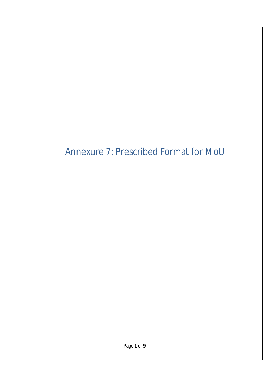# Annexure 7: Prescribed Format for MoU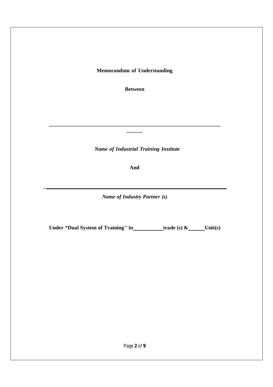**Memorandum of Understanding**

**Between**

**\_\_\_\_\_\_\_\_\_\_\_\_\_\_\_\_\_\_\_\_\_\_\_\_\_\_\_\_\_\_\_\_\_\_\_\_\_\_\_\_\_\_\_\_\_\_\_\_\_\_\_\_\_\_\_\_\_\_\_\_\_\_\_\_ \_\_\_\_\_\_**

*Name of Industrial Training Institute*

**And**

*Name of Industry Partner (s)*

**\_**

**Under "Dual System of Training" in trade (s) & Unit(s)**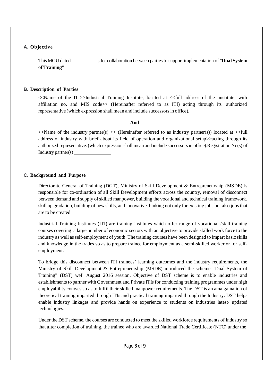# **A. Objective**

This MOU dated is for collaboration between partiesto support implementation of "**Dual System ofTraining**"

# **B. Description of Parties**

<<Name of the ITI>>Industrial Training Institute, located at <<full address of the institute with affiliation no. and MIS code>> (Hereinafter referred to as ITI) acting through its authorized representative (which expression shall mean and include successors in office).

## **And**

 $\ll$ Name of the industry partner(s) >> (Hereinafter referred to as industry partner(s)) located at  $\ll$ full address of industry with brief about its field of operation and organizational setup>>acting through its authorized representative.(which expression shall mean and include successorsin office).Registration No(s).of Industry partner(s)

## **C. Background and Purpose**

Directorate General of Training (DGT), Ministry of Skill Development & Entrepreneurship (MSDE) is responsible for co-ordination of all Skill Development efforts across the country, removal of disconnect between demand and supply ofskilled manpower, building the vocational and technical training framework, skill up gradation, building of new skills, and innovative thinking not only for existing jobs but also jobs that are to be created.

Industrial Training Institutes (ITI) are training institutes which offer range of vocational /skill training courses covering a large number of economic sectors with an objective to provide skilled work force to the industry as well asself-employment of youth. The training courses have been designed to impart basic skills and knowledge in the trades so as to prepare trainee for employment as a semi-skilled worker or for selfemployment.

To bridge this disconnect between ITI trainees' learning outcomes and the industry requirements, the Ministry of Skill Development & Entrepreneurship (MSDE) introduced the scheme "Dual System of Training" (DST) wef. August 2016 session. Objective of DST scheme is to enable industries and establishments to partner with Government and Private ITIs for conducting training programmes under high employability courses so as to fulfil their skilled manpower requirements. The DST is an amalgamation of theoretical training imparted through ITIs and practical training imparted through the Industry. DST helps enable Industry linkages and provide hands on experience to students on industries latest/ updated technologies.

Under the DST scheme, the courses are conducted to meet the skilled workforce requirements of Industry so that after completion of training, the trainee who are awarded National Trade Certificate (NTC) under the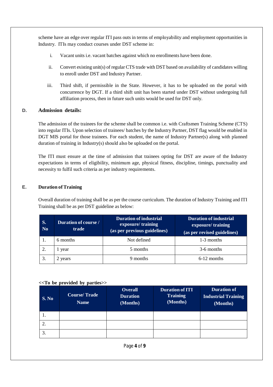scheme have an edge over regular ITI pass outs in terms of employability and employment opportunities in Industry. ITIs may conduct courses under DST scheme in:

- i. Vacant units i.e. vacant batches against which no enrollments have been done.
- ii. Convert existing unit(s) of regular CTS trade with DST based on availability of candidates willing to enroll under DST and Industry Partner.
- iii. Third shift, if permissible in the State. However, it has to be uploaded on the portal with concurrence by DGT. If a third shift unit has been started under DST without undergoing full affiliation process, then in future such units would be used for DST only.

## **D. Admission details:**

The admission of the trainees for the scheme shall be common i.e. with Craftsmen Training Scheme (CTS) into regular ITIs. Upon selection of trainees/ batches by the Industry Partner, DST flag would be enabled in DGT MIS portal for those trainees. For each student, the name of Industry Partner(s) along with planned duration of training in Industry(s) should also be uploaded on the portal.

The ITI must ensure at the time of admission that trainees opting for DST are aware of the Industry expectations in terms of eligibility, minimum age, physical fitness, discipline, timings, punctuality and necessity to fulfil such criteria as per industry requirements.

## **E. Duration** of Training

Overall duration of training shall be as per the course curriculum. The duration of Industry Training and ITI Training shall be as per DST guideline as below:

| S.<br>N <sub>0</sub> | <b>Duration of course /</b><br>trade | <b>Duration of industrial</b><br>exposure/training<br>(as per previous guidelines) | <b>Duration of industrial</b><br>exposure/training<br>(as per revised guidelines) |  |
|----------------------|--------------------------------------|------------------------------------------------------------------------------------|-----------------------------------------------------------------------------------|--|
|                      | 6 months                             | Not defined                                                                        | 1-3 months                                                                        |  |
|                      | 1 year                               | 5 months                                                                           | 3-6 months                                                                        |  |
| 3.                   | 2 years                              | 9 months                                                                           | $6-12$ months                                                                     |  |

#### **<<To be provided by parties>>**

| S. No | <b>Course/Trade</b><br><b>Name</b> | <b>Overall</b><br><b>Duration</b><br>(Months) | <b>Duration of ITI</b><br><b>Training</b><br>(Months) | <b>Duration of</b><br><b>Industrial Training</b><br>(Months) |
|-------|------------------------------------|-----------------------------------------------|-------------------------------------------------------|--------------------------------------------------------------|
| .,    |                                    |                                               |                                                       |                                                              |
|       |                                    |                                               |                                                       |                                                              |
| 3.    |                                    |                                               |                                                       |                                                              |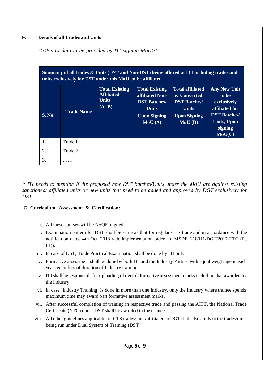# **F. Details of all Trades and Units**

*<<Below data to be provided by ITI signing MoU>>*

| Summary of all trades & Units (DST and Non-DST) being offered at ITI including trades and<br>units exclusively for DST under this MoU, to be affiliated |                   |                                                                       |                                                                                                                  |                                                                                                                |                                                                                                                                              |
|---------------------------------------------------------------------------------------------------------------------------------------------------------|-------------------|-----------------------------------------------------------------------|------------------------------------------------------------------------------------------------------------------|----------------------------------------------------------------------------------------------------------------|----------------------------------------------------------------------------------------------------------------------------------------------|
| S. No                                                                                                                                                   | <b>Trade Name</b> | <b>Total Existing</b><br><b>Affiliated</b><br><b>Units</b><br>$(A+B)$ | <b>Total Existing</b><br>affiliated Non-<br><b>DST Batches/</b><br><b>Units</b><br><b>Upon Signing</b><br>MoU(A) | <b>Total affiliated</b><br>& Converted<br><b>DST Batches/</b><br><b>Units</b><br><b>Upon Signing</b><br>MoU(B) | <b>Any New Unit</b><br>to be<br>exclusively<br>affiliated for<br><b>DST Batches/</b><br><b>Units, Upon</b><br>signing<br>$Mo\overline{U(C)}$ |
| 1.                                                                                                                                                      | Trade 1           |                                                                       |                                                                                                                  |                                                                                                                |                                                                                                                                              |
| 2.                                                                                                                                                      | Trade 2           |                                                                       |                                                                                                                  |                                                                                                                |                                                                                                                                              |
| 3.                                                                                                                                                      | .                 |                                                                       |                                                                                                                  |                                                                                                                |                                                                                                                                              |

*\* ITI needs to mention if the proposed new DST batches/Units under the MoU are against existing sanctioned/ affiliated units or new units that need to be added and approved by DGT exclusively for DST.*

#### **G. Curriculum, Assessment & Certification:**

- i. All these courses will be NSQF aligned
- ii. Examination pattern for DST shall be same as that for regular CTS trade and in accordance with the notification dated 4th Oct. 2018 vide implementation order no. MSDE (-18011/DGT/2017-TTC (Pt. III)).
- iii. In case of DST, Trade Practical Examination shall be done by ITI only.
- iv. Formative assessment shall be done by both ITI and the Industry Partner with equal weightage in each year regardless of duration of Industry training.
- v. ITIshall be responsible for uploading of overall formative assessment marksincluding that awarded by the Industry.
- vi. In case 'Industry Training' is done in more than one Industry, only the Industry where trainee spends maximum time may award part formative assessment marks.
- vii. After successful completion of training in respective trade and passing the AITT, the National Trade Certificate (NTC) under DST shall be awarded to the trainee.
- viii. All other guidelines applicable for CTS trades/units affiliated to DGT shall also apply to the trades/units being run under Dual System of Training (DST).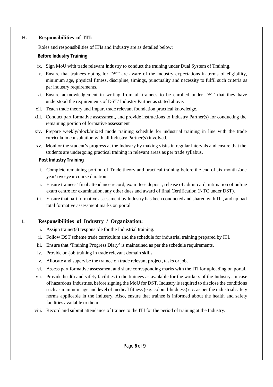## **H. Responsibilities of ITI:**

Roles and responsibilities of ITIs and Industry are as detailed below:

#### **Before Industry Training**

- ix. Sign MoU with trade relevant Industry to conduct the training under Dual System of Training.
- x. Ensure that trainees opting for DST are aware of the Industry expectations in terms of eligibility, minimum age, physical fitness, discipline, timings, punctuality and necessity to fulfil such criteria as per industry requirements.
- xi. Ensure acknowledgement in writing from all trainees to be enrolled under DST that they have understood the requirements of DST/ Industry Partner as stated above.
- xii. Teach trade theory and impart trade relevant foundation practical knowledge.
- xiii. Conduct part formative assessment, and provide instructions to Industry Partner(s) for conducting the remaining portion of formative assessment
- xiv. Prepare weekly/block/mixed mode training schedule for industrial training in line with the trade curricula in consultation with all Industry Partner(s) involved.
- xv. Monitor the student's progress at the Industry by making visits in regular intervals and ensure that the students are undergoing practical training in relevant areas as per trade syllabus.

#### **Post Industry Training**

- i. Complete remaining portion of Trade theory and practical training before the end of six month /one year/ two-year course duration.
- ii. Ensure trainees' final attendance record, exam fees deposit, release of admit card, intimation of online exam centre for examination, any other dues and award of final Certification (NTC under DST).
- iii. Ensure that part formative assessment by Industry has been conducted and shared with ITI, and upload total formative assessment marks on portal.

#### **I. Responsibilities of Industry / Organization:**

- i. Assign trainer(s) responsible for the Industrial training.
- ii. Follow DST scheme trade curriculum and the schedule for industrial training prepared by ITI.
- iii. Ensure that 'Training Progress Diary' is maintained as per the schedule requirements.
- iv. Provide on-job training in trade relevant domain skills.
- v. Allocate and supervise the trainee on trade relevant project, tasks or job.
- vi. Assess part formative assessment and share corresponding marks with the ITI for uploading on portal.
- vii. Provide health and safety facilities to the trainees as available for the workers of the Industry. In case of hazardous industries, before signing the MoU for DST, Industry isrequired to disclose the conditions such as minimum age and level of medical fitness (e.g. colour blindness) etc. as per the industrialsafety norms applicable in the Industry. Also, ensure that trainee is informed about the health and safety facilities available to them.
- viii. Record and submit attendance of trainee to the ITI for the period of training at the Industry.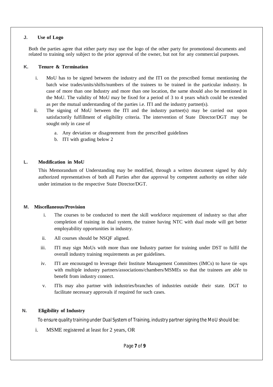#### **J. Use of Logo**

Both the parties agree that either party may use the logo of the other party for promotional documents and related to training only subject to the prior approval of the owner, but not for any commercial purposes.

#### **K. Tenure & Termination**

- i. MoU has to be signed between the industry and the ITI on the prescribed format mentioning the batch wise trades/units/shifts/numbers of the trainees to be trained in the particular industry. In case of more than one Industry and more than one location, the same should also be mentioned in the MoU. The validity of MoU may be fixed for a period of 3 to 4 years which could be extended as per the mutual understanding of the parties i.e. ITI and the industry partner(s).
- ii. The signing of MoU between the ITI and the industry partner(s) may be carried out upon satisfactorily fulfillment of eligibility criteria. The intervention of State Director/DGT may be sought only in case of
	- a. Any deviation or disagreement from the prescribed guidelines
	- b. ITI with grading below 2

#### **L. Modification in MoU**

This Memorandum of Understanding may be modified, through a written document signed by duly authorized representatives of both all Parties after due approval by competent authority on either side under intimation to the respective State Director/DGT.

#### **M. Miscellaneous/Provision**

- i. The courses to be conducted to meet the skill workforce requirement of industry so that after completion of training in dual system, the trainee having NTC with dual mode will get better employability opportunities in industry.
- ii. All courses should be NSQF aligned.
- iii. ITI may sign MoUs with more than one Industry partner for training under DST to fulfil the overall industry training requirements as per guidelines.
- iv. ITI are encouraged to leverage their Institute Management Committees (IMCs) to have tie -ups with multiple industry partners/associations/chambers/MSMEs so that the trainees are able to benefit from industry connect.
- v. ITIs may also partner with industries/branches of industries outside their state. DGT to facilitate necessary approvals if required for such cases.

#### **N. Eligibility of Industry**

To ensure quality training under Dual System of Training, industry partnersigning the MoU should be:

i. MSME registered at least for 2 years, OR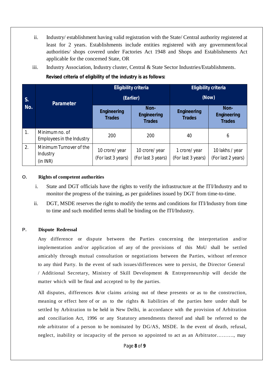- ii. Industry/ establishment having valid registration with the State/ Central authority registered at least for 2 years. Establishments include entities registered with any government/local authorities/ shops covered under Factories Act 1948 and Shops and Establishments Act applicable for the concerned State, OR
- iii. Industry Association, Industry cluster, Central & State Sector Industries/Establishments.

**Revised criteria of eligibility of the industry is as follows:**

| S.<br>No. | <b>Parameter</b>                                | <b>Eligibility criteria</b>          |                                             | <b>Eligibility criteria</b>         |                                             |
|-----------|-------------------------------------------------|--------------------------------------|---------------------------------------------|-------------------------------------|---------------------------------------------|
|           |                                                 | (Earlier)                            |                                             | (Now)                               |                                             |
|           |                                                 | <b>Engineering</b><br><b>Trades</b>  | Non-<br><b>Engineering</b><br><b>Trades</b> | <b>Engineering</b><br><b>Trades</b> | Non-<br><b>Engineering</b><br><b>Trades</b> |
| 1.        | Minimum no. of<br>Employees in the Industry     | 200                                  | 200                                         | 40                                  | 6                                           |
| 2.        | Minimum Turnover of the<br>Industry<br>(in INR) | 10 crore/ year<br>(For last 3 years) | 10 crore/ year<br>(For last 3 years)        | 1 crore/year<br>(For last 3 years)  | 10 lakhs / year<br>(For last 2 years)       |

## **O. Rights of competent authorities**

- i. State and DGT officials have the rights to verify the infrastructure at the ITI/Industry and to monitor the progress of the training, as per guidelines issued by DGT from time-to-time.
- ii. DGT, MSDE reserves the right to modify the terms and conditions for ITI/Industry from time to time and such modified terms shall be binding on the ITI/Industry.

# **P. Dispute Redressal**

Any difference or dispute between the Parties concerning the interpretation and/or implementation and/or application of any of the provisions of this MoU shall be settled amicably through mutual consultation or negotiations between the Parties, without ref erence to any third Party. In the event of such issues/differences were to persist, the Director General / Additional Secretary, Ministry of Skill Development & Entrepreneurship will decide the matter which will be final and accepted to by the parties.

All disputes, differences  $\&$ /or claims arising out of these presents or as to the construction, meaning or effect here of or as to the rights & liabilities of the parties here under shall be settled by Arbitration to be held in New Delhi, in accordance with the provision of Arbitration and conciliation Act, 1996 or any Statutory amendments thereof and shall be referred to the role arbitrator of a person to be nominated by DG/AS, MSDE. In the event of death, refusal, neglect, inability or incapacity of the person so appointed to act as an Arbitrator………., may